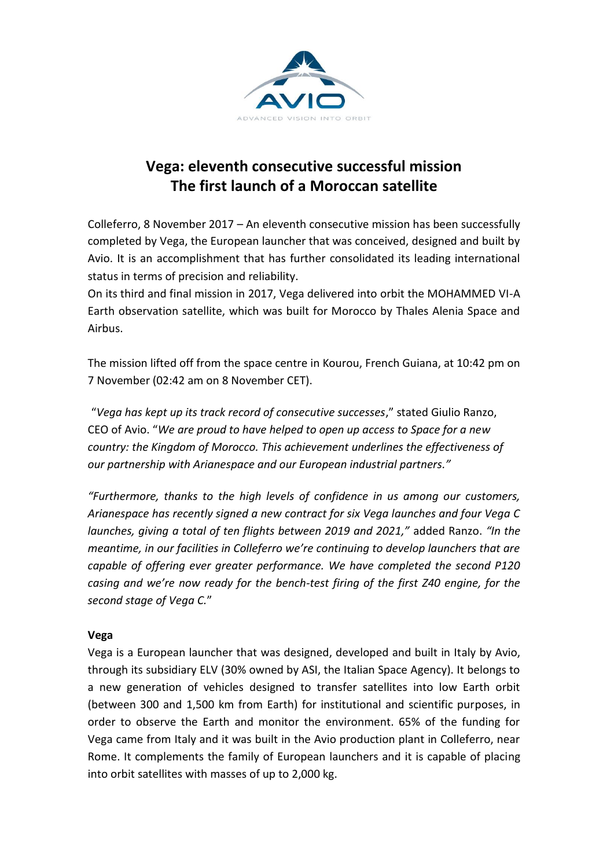

## **Vega: eleventh consecutive successful mission The first launch of a Moroccan satellite**

Colleferro, 8 November 2017 – An eleventh consecutive mission has been successfully completed by Vega, the European launcher that was conceived, designed and built by Avio. It is an accomplishment that has further consolidated its leading international status in terms of precision and reliability.

On its third and final mission in 2017, Vega delivered into orbit the MOHAMMED VI-A Earth observation satellite, which was built for Morocco by Thales Alenia Space and Airbus.

The mission lifted off from the space centre in Kourou, French Guiana, at 10:42 pm on 7 November (02:42 am on 8 November CET).

"*Vega has kept up its track record of consecutive successes*," stated Giulio Ranzo, CEO of Avio. "*We are proud to have helped to open up access to Space for a new country: the Kingdom of Morocco. This achievement underlines the effectiveness of our partnership with Arianespace and our European industrial partners."*

*"Furthermore, thanks to the high levels of confidence in us among our customers, Arianespace has recently signed a new contract for six Vega launches and four Vega C launches, giving a total of ten flights between 2019 and 2021,"* added Ranzo. *"In the meantime, in our facilities in Colleferro we're continuing to develop launchers that are capable of offering ever greater performance. We have completed the second P120 casing and we're now ready for the bench-test firing of the first Z40 engine, for the second stage of Vega C.*"

## **Vega**

Vega is a European launcher that was designed, developed and built in Italy by Avio, through its subsidiary ELV (30% owned by ASI, the Italian Space Agency). It belongs to a new generation of vehicles designed to transfer satellites into low Earth orbit (between 300 and 1,500 km from Earth) for institutional and scientific purposes, in order to observe the Earth and monitor the environment. 65% of the funding for Vega came from Italy and it was built in the Avio production plant in Colleferro, near Rome. It complements the family of European launchers and it is capable of placing into orbit satellites with masses of up to 2,000 kg.